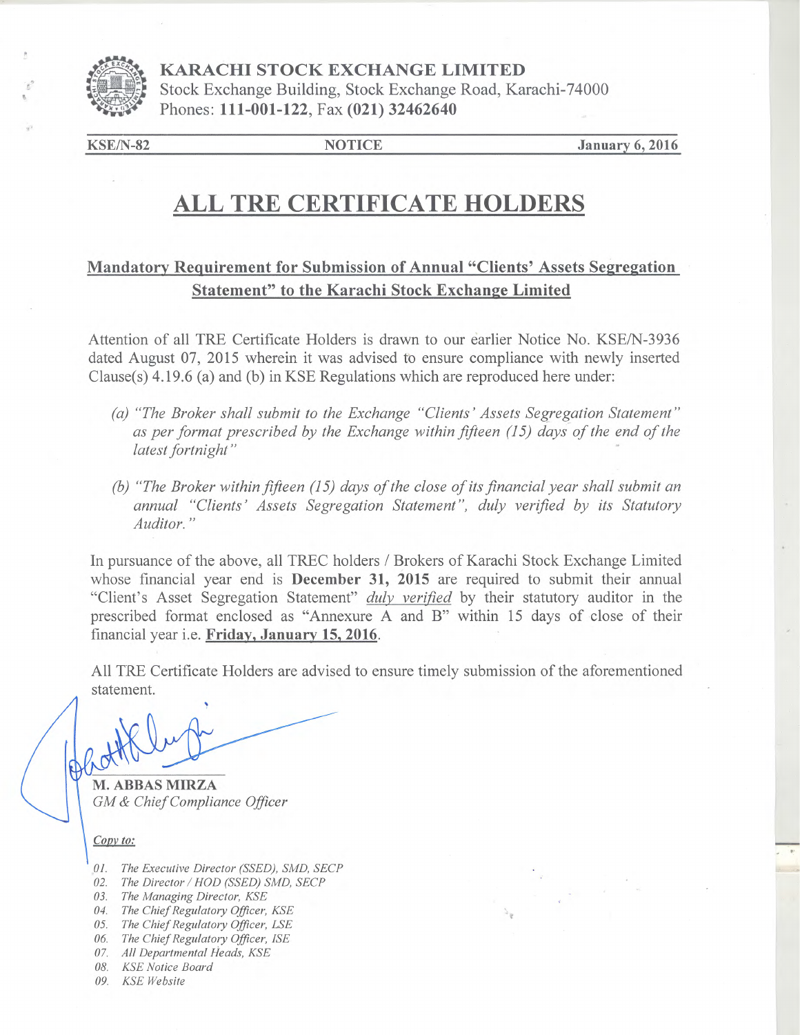

**KARACHI STOCK EXCHANGE LIMITED**  Stock Exchange Building, Stock Exchange Road, Karachi-74000 **KARACHI STOCK EXCHANGE LI**<br>Stock Exchange Building, Stock Exchange<br>Phones: 111-001-122, Fax (021) 32462640

KSE/N-82 **NOTICE January 6, 2016** 

# **ALL TRE CERTIFICATE HOLDERS**

### **Mandatory Requirement for Submission of Annual "Clients' Assets Segregation Statement" to the Karachi Stock Exchange Limited**

Attention of all TRE Certificate Holders is drawn to our earlier Notice No. KSE/N-3936 dated August 07, 2015 wherein it was advised to ensure compliance with newly inserted Clause(s) 4.19.6 (a) and (b) in KSE Regulations which are reproduced here under:

- *(a) "The Broker shall submit to the Exchange "Clients' Assets Segregation Statement" as per format prescribed by the Exchange within fifteen (15) days of the end of the latest fortnight"*
- *(b) "The Broker within fifteen (15) days of the close of its financial year shall submit an annual "Clients' Assets Segregation Statement", duly verified by its Statutory Auditor."*

In pursuance of the above, all TREC holders / Brokers of Karachi Stock Exchange Limited whose financial year end is **December 31, 2015** are required to submit their annual "Client's Asset Segregation Statement" *duly verified* by their statutory auditor in the prescribed format enclosed as "Annexure A and B" within 15 days of close of their financial year i.e. **Friday, January 15, 2016.** 

All TRE Certificate Holders are advised to ensure timely submission of the aforementioned statement.

**M. ABBAS MIRZA**  *GM & Chief Compliance Officer* 

Copy to:

- *1. The Executive Director (SSED), SMD, SECP*
- 02. The Director / HOD (SSED) SMD, SECP
- *3. The Managing Director, KSE*
- *4. The Chief Regulatory Officer, KSE*
- *5. The Chief Regulatory Officer, LSE*
- *6. The Chief Regulatory Officer, ISE*
- *7, All Departmental Heads, KSE*
- *8, KSE Notice Board*
- *09. KSE Website*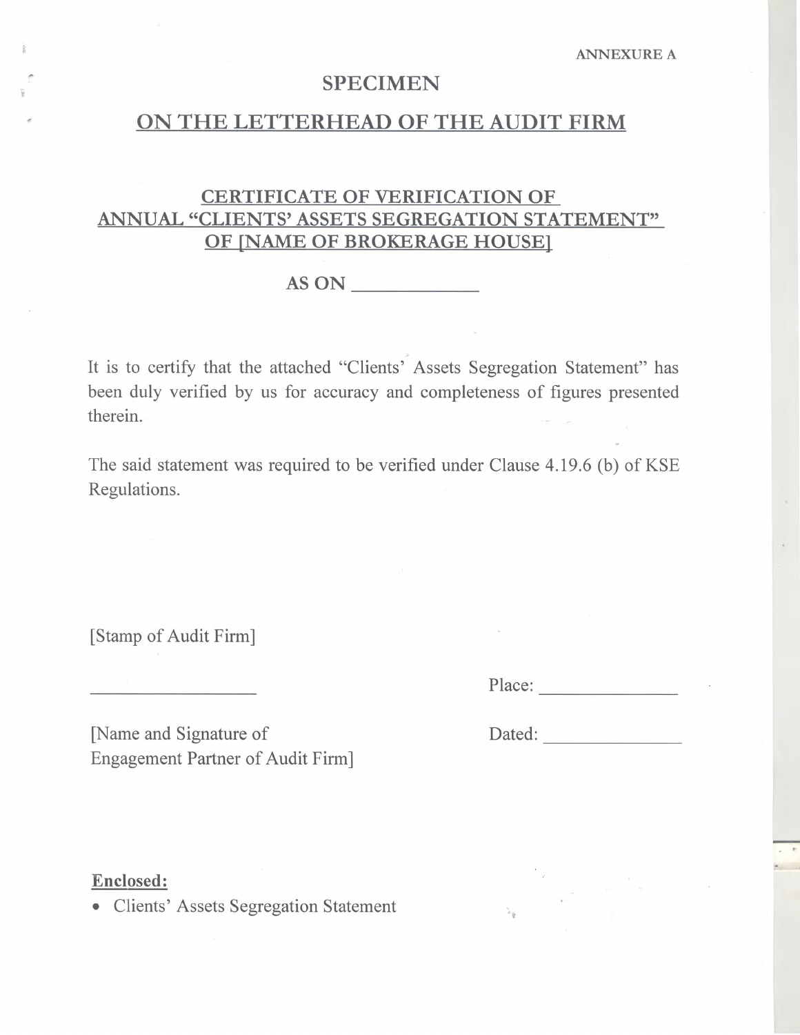## **SPECIMEN**

# **- ON THE LETTERHEAD OF THE AUDIT FIRM**

# **CERTIFICATE OF VERIFICATION OF ANNUAL "CLIENTS' ASSETS SEGREGATION STATEMENT" OF [NAME OF BROKERAGE HOUSE]**

**AS ON** 

It is to certify that the attached "Clients' Assets Segregation Statement" has been duly verified by us for accuracy and completeness of figures presented therein.

The said statement was required to be verified under Clause 4.19.6 (b) of KSE Regulations.

[Stamp of Audit Firm]

Place:

[Name and Signature of Dated: Engagement Partner of Audit Firm]

**Enclosed:** 

• Clients' Assets Segregation Statement